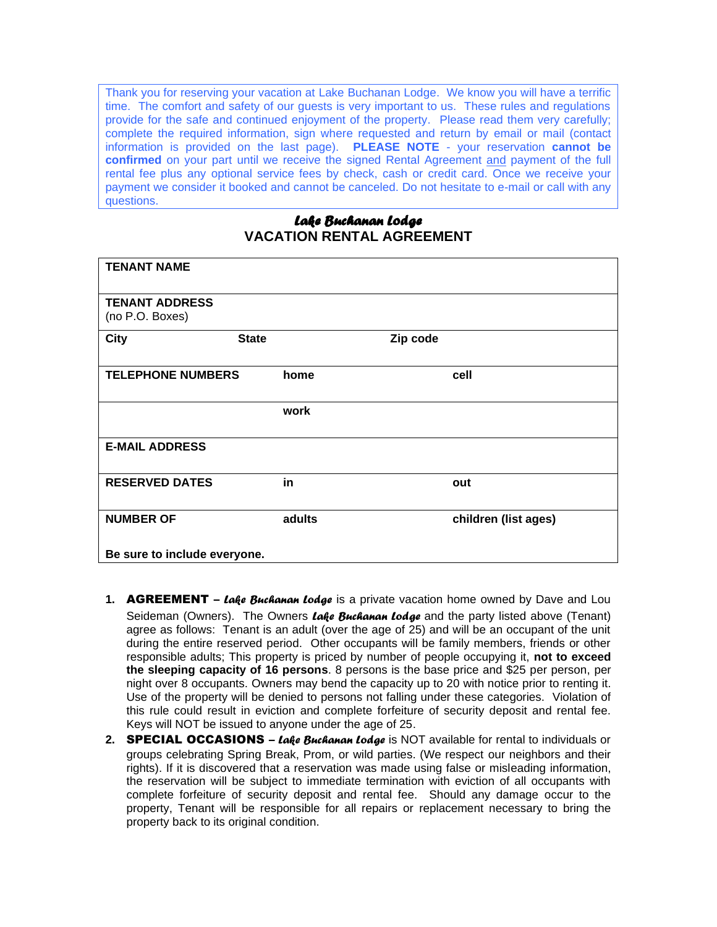Thank you for reserving your vacation at Lake Buchanan Lodge. We know you will have a terrific time. The comfort and safety of our guests is very important to us. These rules and regulations provide for the safe and continued enjoyment of the property. Please read them very carefully; complete the required information, sign where requested and return by email or mail (contact information is provided on the last page). **PLEASE NOTE** - your reservation **cannot be confirmed** on your part until we receive the signed Rental Agreement and payment of the full rental fee plus any optional service fees by check, cash or credit card. Once we receive your payment we consider it booked and cannot be canceled. Do not hesitate to e-mail or call with any questions.

# *Lake Buchanan Lodge*  **VACATION RENTAL AGREEMENT**

| <b>TENANT NAME</b>                       |              |                      |  |
|------------------------------------------|--------------|----------------------|--|
| <b>TENANT ADDRESS</b><br>(no P.O. Boxes) |              |                      |  |
| <b>City</b>                              | <b>State</b> | Zip code             |  |
| <b>TELEPHONE NUMBERS</b>                 | home         | cell                 |  |
|                                          | work         |                      |  |
| <b>E-MAIL ADDRESS</b>                    |              |                      |  |
| <b>RESERVED DATES</b>                    | in           | out                  |  |
| <b>NUMBER OF</b>                         | adults       | children (list ages) |  |
| Be sure to include everyone.             |              |                      |  |

- **1.** AGREEMENT *Lake Buchanan Lodge* is a private vacation home owned by Dave and Lou Seideman (Owners). The Owners *Lake Buchanan Lodge* and the party listed above (Tenant) agree as follows: Tenant is an adult (over the age of 25) and will be an occupant of the unit during the entire reserved period. Other occupants will be family members, friends or other responsible adults; This property is priced by number of people occupying it, **not to exceed the sleeping capacity of 16 persons**. 8 persons is the base price and \$25 per person, per night over 8 occupants. Owners may bend the capacity up to 20 with notice prior to renting it. Use of the property will be denied to persons not falling under these categories. Violation of this rule could result in eviction and complete forfeiture of security deposit and rental fee. Keys will NOT be issued to anyone under the age of 25.
- **2.** SPECIAL OCCASIONS *Lake Buchanan Lodge* is NOT available for rental to individuals or groups celebrating Spring Break, Prom, or wild parties. (We respect our neighbors and their rights). If it is discovered that a reservation was made using false or misleading information, the reservation will be subject to immediate termination with eviction of all occupants with complete forfeiture of security deposit and rental fee. Should any damage occur to the property, Tenant will be responsible for all repairs or replacement necessary to bring the property back to its original condition.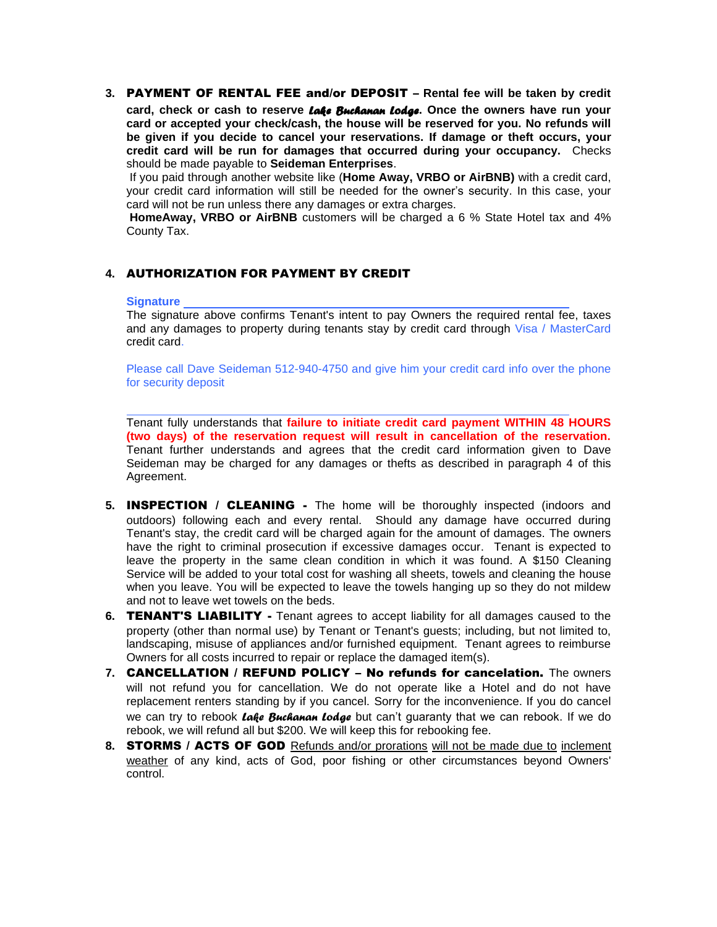**3.** PAYMENT OF RENTAL FEE and/or DEPOSIT – **Rental fee will be taken by credit card, check or cash to reserve** *Lake Buchanan Lodge***. Once the owners have run your card or accepted your check/cash, the house will be reserved for you. No refunds will be given if you decide to cancel your reservations. If damage or theft occurs, your credit card will be run for damages that occurred during your occupancy.** Checks should be made payable to **Seideman Enterprises**.

If you paid through another website like (**Home Away, VRBO or AirBNB)** with a credit card, your credit card information will still be needed for the owner's security. In this case, your card will not be run unless there any damages or extra charges.

**HomeAway, VRBO or AirBNB** customers will be charged a 6 % State Hotel tax and 4% County Tax.

### **4.** AUTHORIZATION FOR PAYMENT BY CREDIT

#### **Signature**

The signature above confirms Tenant's intent to pay Owners the required rental fee, taxes and any damages to property during tenants stay by credit card through Visa / MasterCard credit card.

Please call Dave Seideman 512-940-4750 and give him your credit card info over the phone for security deposit

Tenant fully understands that **failure to initiate credit card payment WITHIN 48 HOURS (two days) of the reservation request will result in cancellation of the reservation.**  Tenant further understands and agrees that the credit card information given to Dave Seideman may be charged for any damages or thefts as described in paragraph 4 of this Agreement.

- **5.** INSPECTION / CLEANING The home will be thoroughly inspected (indoors and outdoors) following each and every rental. Should any damage have occurred during Tenant's stay, the credit card will be charged again for the amount of damages. The owners have the right to criminal prosecution if excessive damages occur. Tenant is expected to leave the property in the same clean condition in which it was found. A \$150 Cleaning Service will be added to your total cost for washing all sheets, towels and cleaning the house when you leave. You will be expected to leave the towels hanging up so they do not mildew and not to leave wet towels on the beds.
- **6.** TENANT'S LIABILITY Tenant agrees to accept liability for all damages caused to the property (other than normal use) by Tenant or Tenant's guests; including, but not limited to, landscaping, misuse of appliances and/or furnished equipment. Tenant agrees to reimburse Owners for all costs incurred to repair or replace the damaged item(s).
- **7.** CANCELLATION / REFUND POLICY No refunds for cancelation. The owners will not refund you for cancellation. We do not operate like a Hotel and do not have replacement renters standing by if you cancel. Sorry for the inconvenience. If you do cancel we can try to rebook *Lake Buchanan Lodge* but can't guaranty that we can rebook. If we do rebook, we will refund all but \$200. We will keep this for rebooking fee.
- **8.** STORMS / ACTS OF GOD Refunds and/or prorations will not be made due to inclement weather of any kind, acts of God, poor fishing or other circumstances beyond Owners' control.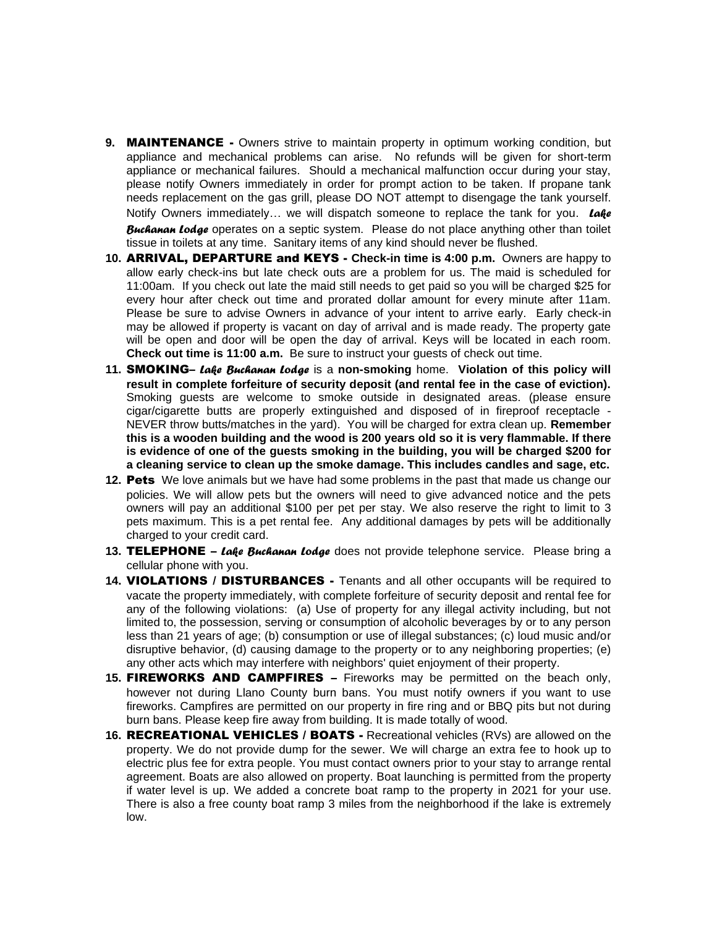- **9.** MAINTENANCE Owners strive to maintain property in optimum working condition, but appliance and mechanical problems can arise. No refunds will be given for short-term appliance or mechanical failures. Should a mechanical malfunction occur during your stay, please notify Owners immediately in order for prompt action to be taken. If propane tank needs replacement on the gas grill, please DO NOT attempt to disengage the tank yourself. Notify Owners immediately… we will dispatch someone to replace the tank for you. *Lake Buchanan Lodge* operates on a septic system. Please do not place anything other than toilet tissue in toilets at any time. Sanitary items of any kind should never be flushed.
- **10.** ARRIVAL, DEPARTURE and KEYS **Check-in time is 4:00 p.m.** Owners are happy to allow early check-ins but late check outs are a problem for us. The maid is scheduled for 11:00am. If you check out late the maid still needs to get paid so you will be charged \$25 for every hour after check out time and prorated dollar amount for every minute after 11am. Please be sure to advise Owners in advance of your intent to arrive early. Early check-in may be allowed if property is vacant on day of arrival and is made ready. The property gate will be open and door will be open the day of arrival. Keys will be located in each room. **Check out time is 11:00 a.m.** Be sure to instruct your guests of check out time.
- **11.** SMOKING– *Lake Buchanan Lodge* is a **non-smoking** home. **Violation of this policy will result in complete forfeiture of security deposit (and rental fee in the case of eviction).**  Smoking guests are welcome to smoke outside in designated areas. (please ensure cigar/cigarette butts are properly extinguished and disposed of in fireproof receptacle - NEVER throw butts/matches in the yard). You will be charged for extra clean up. **Remember this is a wooden building and the wood is 200 years old so it is very flammable. If there is evidence of one of the guests smoking in the building, you will be charged \$200 for a cleaning service to clean up the smoke damage. This includes candles and sage, etc.**
- **12.** Pets We love animals but we have had some problems in the past that made us change our policies. We will allow pets but the owners will need to give advanced notice and the pets owners will pay an additional \$100 per pet per stay. We also reserve the right to limit to 3 pets maximum. This is a pet rental fee. Any additional damages by pets will be additionally charged to your credit card.
- **13.** TELEPHONE *Lake Buchanan Lodge* does not provide telephone service. Please bring a cellular phone with you.
- **14.** VIOLATIONS / DISTURBANCES Tenants and all other occupants will be required to vacate the property immediately, with complete forfeiture of security deposit and rental fee for any of the following violations: (a) Use of property for any illegal activity including, but not limited to, the possession, serving or consumption of alcoholic beverages by or to any person less than 21 years of age; (b) consumption or use of illegal substances; (c) loud music and/or disruptive behavior, (d) causing damage to the property or to any neighboring properties; (e) any other acts which may interfere with neighbors' quiet enjoyment of their property.
- **15.** FIREWORKS AND CAMPFIRES Fireworks may be permitted on the beach only, however not during Llano County burn bans. You must notify owners if you want to use fireworks. Campfires are permitted on our property in fire ring and or BBQ pits but not during burn bans. Please keep fire away from building. It is made totally of wood.
- **16.** RECREATIONAL VEHICLES / BOATS Recreational vehicles (RVs) are allowed on the property. We do not provide dump for the sewer. We will charge an extra fee to hook up to electric plus fee for extra people. You must contact owners prior to your stay to arrange rental agreement. Boats are also allowed on property. Boat launching is permitted from the property if water level is up. We added a concrete boat ramp to the property in 2021 for your use. There is also a free county boat ramp 3 miles from the neighborhood if the lake is extremely low.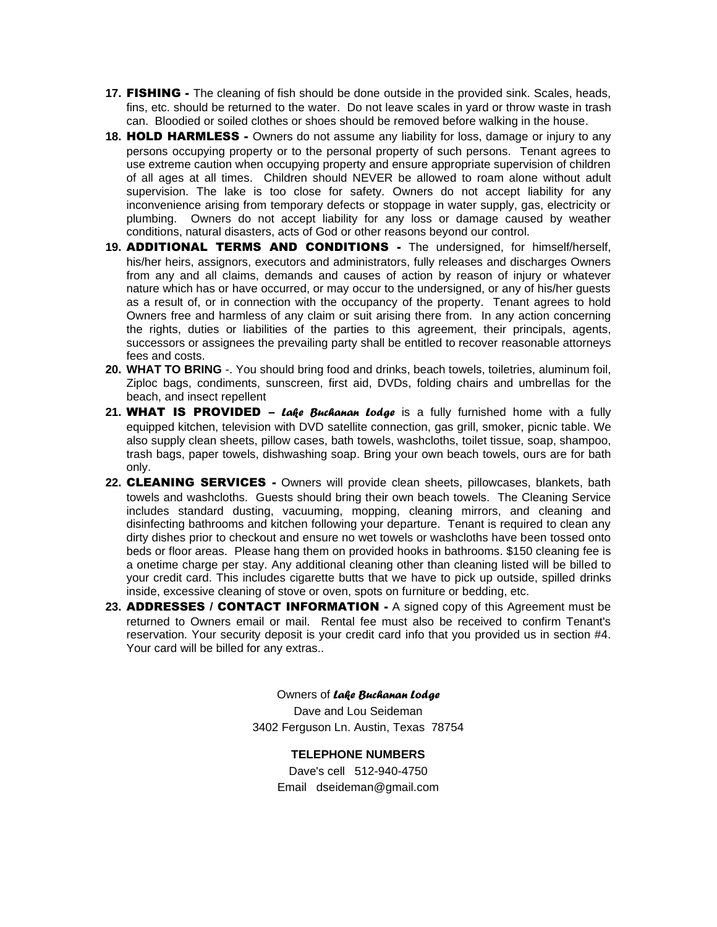- **17.** FISHING The cleaning of fish should be done outside in the provided sink. Scales, heads, fins, etc. should be returned to the water. Do not leave scales in yard or throw waste in trash can. Bloodied or soiled clothes or shoes should be removed before walking in the house.
- **18.** HOLD HARMLESS Owners do not assume any liability for loss, damage or injury to any persons occupying property or to the personal property of such persons. Tenant agrees to use extreme caution when occupying property and ensure appropriate supervision of children of all ages at all times. Children should NEVER be allowed to roam alone without adult supervision. The lake is too close for safety. Owners do not accept liability for any inconvenience arising from temporary defects or stoppage in water supply, gas, electricity or plumbing. Owners do not accept liability for any loss or damage caused by weather conditions, natural disasters, acts of God or other reasons beyond our control.
- **19.** ADDITIONAL TERMS AND CONDITIONS The undersigned, for himself/herself, his/her heirs, assignors, executors and administrators, fully releases and discharges Owners from any and all claims, demands and causes of action by reason of injury or whatever nature which has or have occurred, or may occur to the undersigned, or any of his/her guests as a result of, or in connection with the occupancy of the property. Tenant agrees to hold Owners free and harmless of any claim or suit arising there from. In any action concerning the rights, duties or liabilities of the parties to this agreement, their principals, agents, successors or assignees the prevailing party shall be entitled to recover reasonable attorneys fees and costs.
- **20. WHAT TO BRING** -. You should bring food and drinks, beach towels, toiletries, aluminum foil, Ziploc bags, condiments, sunscreen, first aid, DVDs, folding chairs and umbrellas for the beach, and insect repellent
- **21.** WHAT IS PROVIDED *Lake Buchanan Lodge* is a fully furnished home with a fully equipped kitchen, television with DVD satellite connection, gas grill, smoker, picnic table. We also supply clean sheets, pillow cases, bath towels, washcloths, toilet tissue, soap, shampoo, trash bags, paper towels, dishwashing soap. Bring your own beach towels, ours are for bath only.
- **22.** CLEANING SERVICES Owners will provide clean sheets, pillowcases, blankets, bath towels and washcloths. Guests should bring their own beach towels. The Cleaning Service includes standard dusting, vacuuming, mopping, cleaning mirrors, and cleaning and disinfecting bathrooms and kitchen following your departure. Tenant is required to clean any dirty dishes prior to checkout and ensure no wet towels or washcloths have been tossed onto beds or floor areas. Please hang them on provided hooks in bathrooms. \$150 cleaning fee is a onetime charge per stay. Any additional cleaning other than cleaning listed will be billed to your credit card. This includes cigarette butts that we have to pick up outside, spilled drinks inside, excessive cleaning of stove or oven, spots on furniture or bedding, etc.
- 23. **ADDRESSES / CONTACT INFORMATION -** A signed copy of this Agreement must be returned to Owners email or mail. Rental fee must also be received to confirm Tenant's reservation. Your security deposit is your credit card info that you provided us in section #4. Your card will be billed for any extras..

Owners of *Lake Buchanan Lodge* Dave and Lou Seideman 3402 Ferguson Ln. Austin, Texas 78754

> **TELEPHONE NUMBERS** Dave's cell 512-940-4750 Email dseideman@gmail.com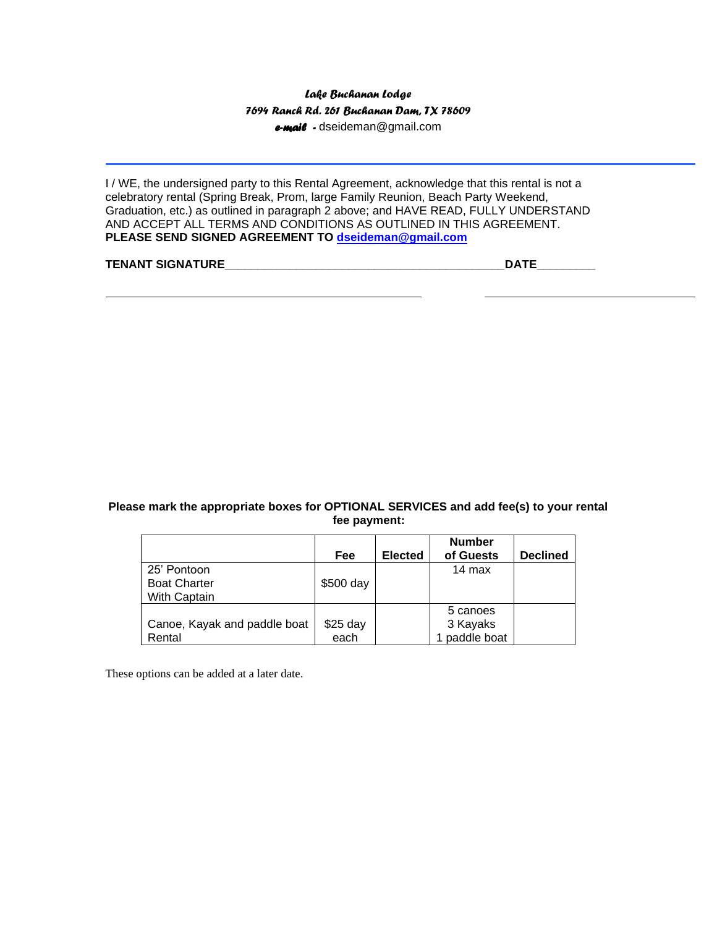## *Lake Buchanan Lodge 7694 Ranch Rd. 261 Buchanan Dam, TX 78609 e-mail -* dseideman@gmail.com

I / WE, the undersigned party to this Rental Agreement, acknowledge that this rental is not a celebratory rental (Spring Break, Prom, large Family Reunion, Beach Party Weekend, Graduation, etc.) as outlined in paragraph 2 above; and HAVE READ, FULLY UNDERSTAND AND ACCEPT ALL TERMS AND CONDITIONS AS OUTLINED IN THIS AGREEMENT. **PLEASE SEND SIGNED AGREEMENT TO [dseideman@gmail.com](mailto:dseideman@gmail.com)**

#### **TENANT SIGNATURE\_\_\_\_\_\_\_\_\_\_\_\_\_\_\_\_\_\_\_\_\_\_\_\_\_\_\_\_\_\_\_\_\_\_\_\_\_\_\_\_\_\_\_DATE\_\_\_\_\_\_\_\_\_**

#### **Please mark the appropriate boxes for OPTIONAL SERVICES and add fee(s) to your rental fee payment:**

|                              | Fee       | <b>Elected</b> | <b>Number</b><br>of Guests | <b>Declined</b> |
|------------------------------|-----------|----------------|----------------------------|-----------------|
| 25' Pontoon                  |           |                | 14 max                     |                 |
| <b>Boat Charter</b>          | \$500 day |                |                            |                 |
| With Captain                 |           |                |                            |                 |
|                              |           |                | 5 canoes                   |                 |
| Canoe, Kayak and paddle boat | \$25 day  |                | 3 Kayaks                   |                 |
| Rental                       | each      |                | paddle boat                |                 |

These options can be added at a later date.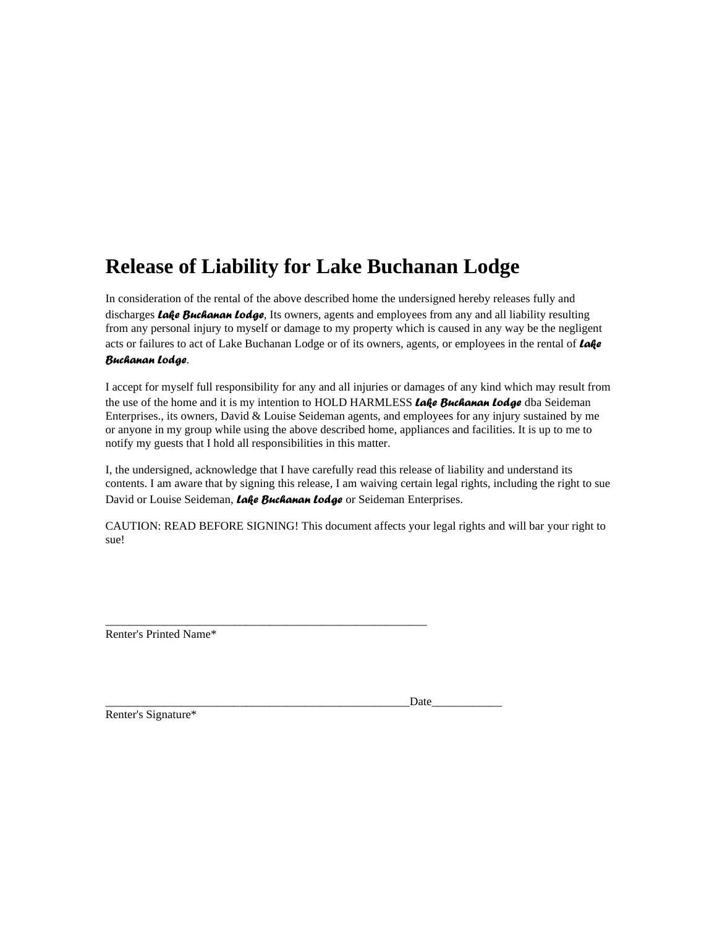# **Release of Liability for Lake Buchanan Lodge**

In consideration of the rental of the above described home the undersigned hereby releases fully and discharges *Lake Buchanan Lodge*, Its owners, agents and employees from any and all liability resulting from any personal injury to myself or damage to my property which is caused in any way be the negligent acts or failures to act of Lake Buchanan Lodge or of its owners, agents, or employees in the rental of *Lake Buchanan Lodge*.

I accept for myself full responsibility for any and all injuries or damages of any kind which may result from the use of the home and it is my intention to HOLD HARMLESS *Lake Buchanan Lodge* dba Seideman Enterprises., its owners, David & Louise Seideman agents, and employees for any injury sustained by me or anyone in my group while using the above described home, appliances and facilities. It is up to me to notify my guests that I hold all responsibilities in this matter.

I, the undersigned, acknowledge that I have carefully read this release of liability and understand its contents. I am aware that by signing this release, I am waiving certain legal rights, including the right to sue David or Louise Seideman, *Lake Buchanan Lodge* or Seideman Enterprises.

CAUTION: READ BEFORE SIGNING! This document affects your legal rights and will bar your right to sue!

Renter's Printed Name\*

| --- |
|-----|
|     |

\_\_\_\_\_\_\_\_\_\_\_\_\_\_\_\_\_\_\_\_\_\_\_\_\_\_\_\_\_\_\_\_\_\_\_\_\_\_\_\_\_\_\_\_\_\_\_\_\_\_\_\_\_\_\_

Renter's Signature\*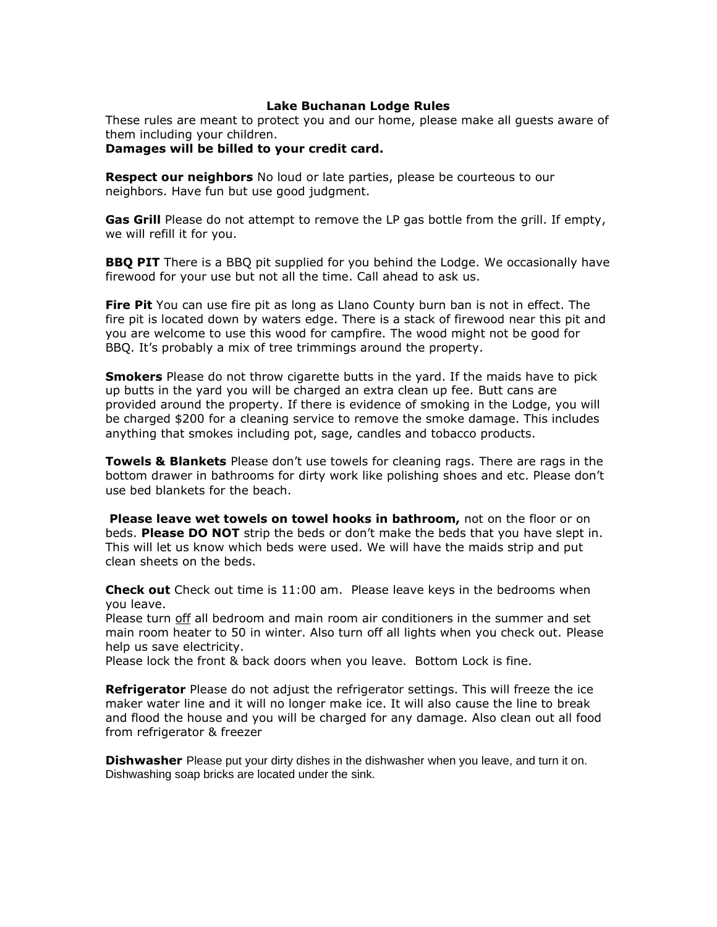## **Lake Buchanan Lodge Rules**

These rules are meant to protect you and our home, please make all guests aware of them including your children.

**Damages will be billed to your credit card.**

**Respect our neighbors** No loud or late parties, please be courteous to our neighbors. Have fun but use good judgment.

**Gas Grill** Please do not attempt to remove the LP gas bottle from the grill. If empty, we will refill it for you.

**BBQ PIT** There is a BBQ pit supplied for you behind the Lodge. We occasionally have firewood for your use but not all the time. Call ahead to ask us.

**Fire Pit** You can use fire pit as long as Llano County burn ban is not in effect. The fire pit is located down by waters edge. There is a stack of firewood near this pit and you are welcome to use this wood for campfire. The wood might not be good for BBQ. It's probably a mix of tree trimmings around the property.

**Smokers** Please do not throw cigarette butts in the yard. If the maids have to pick up butts in the yard you will be charged an extra clean up fee. Butt cans are provided around the property. If there is evidence of smoking in the Lodge, you will be charged \$200 for a cleaning service to remove the smoke damage. This includes anything that smokes including pot, sage, candles and tobacco products.

**Towels & Blankets** Please don't use towels for cleaning rags. There are rags in the bottom drawer in bathrooms for dirty work like polishing shoes and etc. Please don't use bed blankets for the beach.

**Please leave wet towels on towel hooks in bathroom,** not on the floor or on beds. **Please DO NOT** strip the beds or don't make the beds that you have slept in. This will let us know which beds were used. We will have the maids strip and put clean sheets on the beds.

**Check out** Check out time is 11:00 am. Please leave keys in the bedrooms when you leave.

Please turn off all bedroom and main room air conditioners in the summer and set main room heater to 50 in winter. Also turn off all lights when you check out. Please help us save electricity.

Please lock the front & back doors when you leave. Bottom Lock is fine.

**Refrigerator** Please do not adjust the refrigerator settings. This will freeze the ice maker water line and it will no longer make ice. It will also cause the line to break and flood the house and you will be charged for any damage. Also clean out all food from refrigerator & freezer

**Dishwasher** Please put your dirty dishes in the dishwasher when you leave, and turn it on. Dishwashing soap bricks are located under the sink.